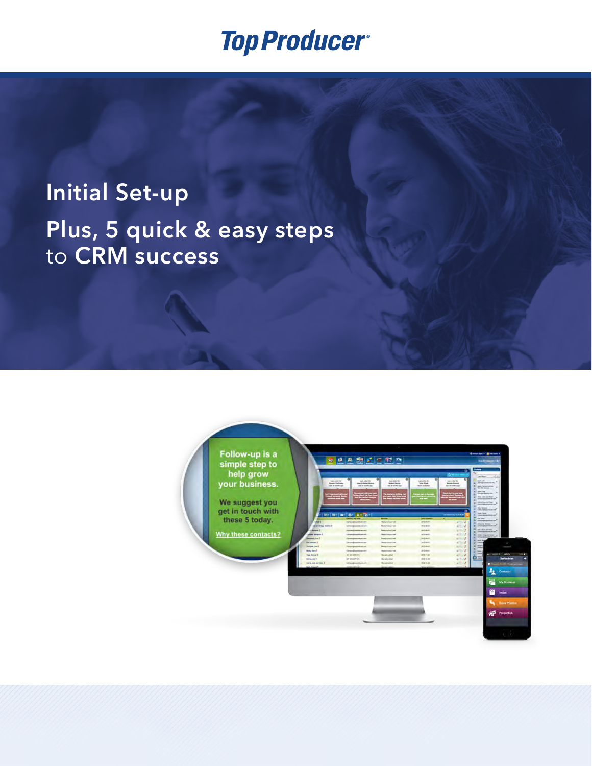# **Initial Set-up Plus, 5 quick & easy steps** to **CRM success**

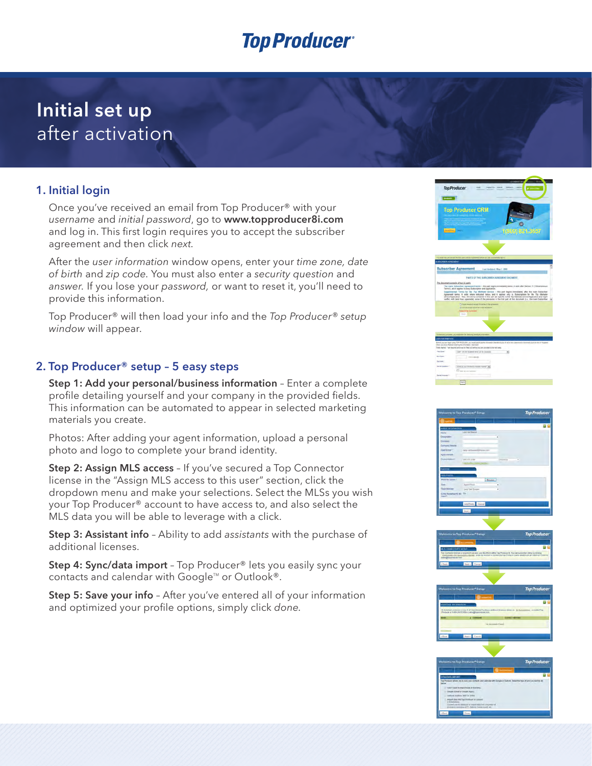### **Initial set up** after activation

#### **1. Initial login**

Once you've received an email from Top Producer® with your *username* and *initial password*, go to **<www.topproducer8i.com>** and log in. This first login requires you to accept the subscriber agreement and then click *next.*

After the *user information* window opens, enter your *time zone, date of birth* and *zip code.* You must also enter a *security question* and *answer.* If you lose your *password,* or want to reset it, you'll need to provide this information.

Top Producer® will then load your info and the *Top Producer® setup window* will appear.

#### **2. Top Producer® setup – 5 easy steps**

**Step 1: Add your personal/business information** – Enter a complete profile detailing yourself and your company in the provided fields. This information can be automated to appear in selected marketing materials you create.

Photos: After adding your agent information, upload a personal photo and logo to complete your brand identity.

**Step 2: Assign MLS access** – If you've secured a Top Connector license in the "Assign MLS access to this user" section, click the dropdown menu and make your selections. Select the MLSs you wish your Top Producer® account to have access to, and also select the MLS data you will be able to leverage with a click.

**Step 3: Assistant info** – Ability to add *assistants* with the purchase of additional licenses.

**Step 4: Sync/data import** – Top Producer® lets you easily sync your contacts and calendar with Google<sup> $M$ </sup> or Outlook®.

**Step 5: Save your info** – After you've entered all of your information and optimized your profile options, simply click *done.*



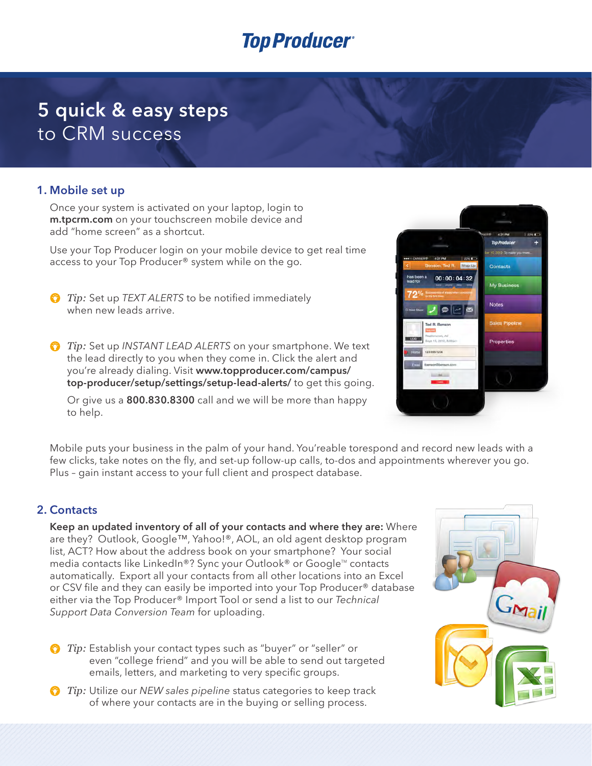### **5 quick & easy steps** to CRM success

#### **1. Mobile set up**

Once your system is activated on your laptop, login to **<m.tpcrm.com>** on your touchscreen mobile device and add "home screen" as a shortcut.

Use your Top Producer login on your mobile device to get real time access to your Top Producer® system while on the go.

- *Tip:* Set up *TEXT ALERTS* to be notified immediately when new leads arrive.
- *Tip:* Set up *INSTANT LEAD ALERTS* on your smartphone. We text the lead directly to you when they come in. Click the alert and you're already dialing. Visit **[www.topproducer.com/campus/](http://www.topproducer.com/campus/top-producer/setup/settings/setup-lead-alerts/) [top-producer/setup/settings/setup-lead-alerts/](http://www.topproducer.com/campus/top-producer/setup/settings/setup-lead-alerts/)** to get this going.

Or give us a **800.830.8300** call and we will be more than happy to help.



Mobile puts your business in the palm of your hand. You'reable torespond and record new leads with a few clicks, take notes on the fly, and set-up follow-up calls, to-dos and appointments wherever you go. Plus – gain instant access to your full client and prospect database.

#### **2. Contacts**

**Keep an updated inventory of all of your contacts and where they are:** Where are they? Outlook, Google™, Yahoo!®, AOL, an old agent desktop program list, ACT? How about the address book on your smartphone? Your social media contacts like LinkedIn®? Sync your Outlook® or Google™ contacts automatically. Export all your contacts from all other locations into an Excel or CSV file and they can easily be imported into your Top Producer® database either via the Top Producer® Import Tool or send a list to our *Technical Support Data Conversion Team* for uploading.

*Tip:* Establish your contact types such as "buyer" or "seller" or even "college friend" and you will be able to send out targeted emails, letters, and marketing to very specific groups.

*Tip:* Utilize our *NEW* sales pipeline status categories to keep track of where your contacts are in the buying or selling process.